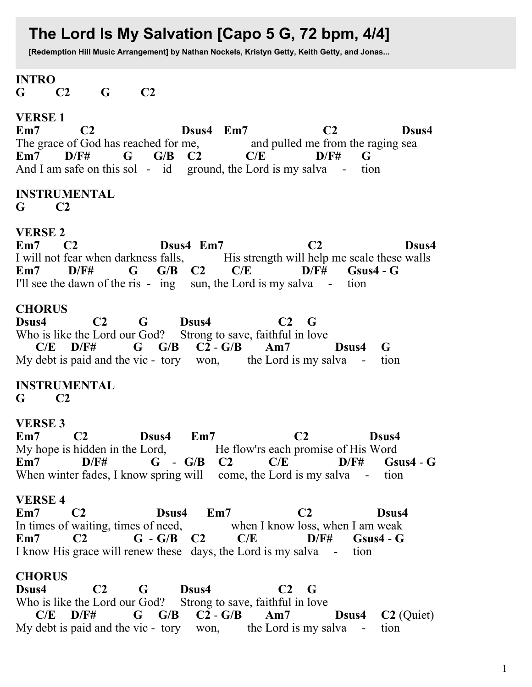# The Lord Is My Salvation [Capo 5 G, 72 bpm, 4/4]

[Redemption Hill Music Arrangement] by Nathan Nockels, Kristyn Getty, Keith Getty, and Jonas...

 $C<sub>2</sub>$ 

#### **INTRO**  $\mathbf G$ G.  $C2$

### **VERSE 1**

 $Em7$  $C<sub>2</sub>$ Dsus4 Em7  $C2$ Dsus4 The grace of God has reached for me. and pulled me from the raging sea  $G/B$  $D/F#$  $Em7$  $D/F#$  $\mathbf G$  $C2$  $C/E$ G And I am safe on this sol - id ground, the Lord is my salva tion

#### **INSTRUMENTAL**  $C<sub>2</sub>$

G.

## **VERSE 2**

 $Em7$ Dsus4 Em7  $C<sub>2</sub>$  $C<sub>2</sub>$ Dsus4 I will not fear when darkness falls, His strength will help me scale these walls  $G/B$   $C2$  $Em7$  $D/F#$ G.  $C/E$ D/F#  $Gsus4 - G$ I'll see the dawn of the ris - ing sun, the Lord is my salva tion

#### **CHORUS**

 $C<sub>2</sub>$ Dsus4 Dsus4 G  $C2 \tG$ Who is like the Lord our God? Strong to save, faithful in love  $C2 - G/B$  $C/E$  D/F# G  $G/B$  $Am7$ Dsus4 G My debt is paid and the vic - tory won, the Lord is my salva tion

# **INSTRUMENTAL**

G.  $C<sub>2</sub>$ 

# **VERSE 3**

 $Em7$  $C<sub>2</sub>$ Dsus4  $Em7$  $C<sub>2</sub>$ Dsus4 My hope is hidden in the Lord, He flow'rs each promise of His Word  $Em7$  $D/F#$  $G - G/B$   $C2$  $C/E$  $D/F#$  $Gsus4 - G$ When winter fades, I know spring will come, the Lord is my salva - tion

# **VERSE 4**

 $Em7$  $Em7$  $C<sub>2</sub>$  $C<sub>2</sub>$ Dsus4 Dsus4 In times of waiting, times of need, when I know loss, when I am weak  $G - G/B$   $C2$  $Em7$  $C<sub>2</sub>$  $C/E$  $D/F#$  $Gsus4 - G$ I know His grace will renew these days, the Lord is my salva - tion

# **CHORUS**

Dsus4  $C<sub>2</sub>$ G Dsus4  $C2 \tG$ Who is like the Lord our God? Strong to save, faithful in love  $C/E$  D/F#  $G$   $G/B$  $C2 - G/B$  $Am7$ Dsus4  $C2$  (Ouiet) My debt is paid and the vic - tory won, the Lord is my salva tion